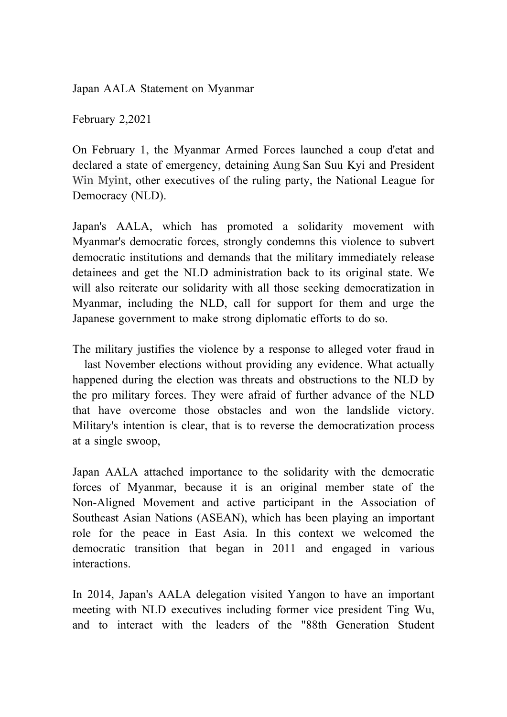Japan AALA Statement on Myanmar

February 2,2021

On February 1, the Myanmar Armed Forces launched a coup d'etat and declared a state of emergency, detaining Aung San Suu Kyi and President Win Myint, other executives of the ruling party, the National League for Democracy (NLD).

Japan's AALA, which has promoted a solidarity movement with Myanmar's democratic forces, strongly condemns this violence to subvert democratic institutions and demands that the military immediately release detainees and get the NLD administration back to its original state. We will also reiterate our solidarity with all those seeking democratization in Myanmar, including the NLD, call for support for them and urge the Japanese government to make strong diplomatic efforts to do so.

The military justifies the violence by a response to alleged voter fraud in last November elections without providing any evidence. What actually happened during the election was threats and obstructions to the NLD by the pro military forces. They were afraid of further advance of the NLD that have overcome those obstacles and won the landslide victory. Military's intention is clear, that is to reverse the democratization process at a single swoop,

Japan AALA attached importance to the solidarity with the democratic forces of Myanmar, because it is an original member state of the Non-Aligned Movement and active participant in the Association of Southeast Asian Nations (ASEAN), which has been playing an important role for the peace in East Asia. In this context we welcomed the democratic transition that began in 2011 and engaged in various interactions.

In 2014, Japan's AALA delegation visited Yangon to have an important meeting with NLD executives including former vice president Ting Wu, and to interact with the leaders of the "88th Generation Student